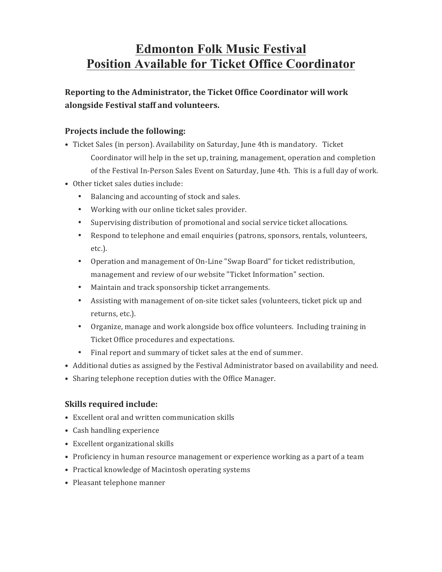## **Edmonton Folk Music Festival Position Available for Ticket Office Coordinator**

**Reporting to the Administrator, the Ticket Office Coordinator will work alongside Festival staff and volunteers.**

## **Projects include the following:**

- Ticket Sales (in person). Availability on Saturday, June 4th is mandatory. Ticket Coordinator will help in the set up, training, management, operation and completion of the Festival In-Person Sales Event on Saturday, June 4th. This is a full day of work.
- Other ticket sales duties include:
	- Balancing and accounting of stock and sales.
	- Working with our online ticket sales provider.
	- Supervising distribution of promotional and social service ticket allocations.
	- Respond to telephone and email enquiries (patrons, sponsors, rentals, volunteers, etc.).
	- Operation and management of On-Line "Swap Board" for ticket redistribution, management and review of our website "Ticket Information" section.
	- Maintain and track sponsorship ticket arrangements.
	- Assisting with management of on-site ticket sales (volunteers, ticket pick up and returns, etc.).
	- Organize, manage and work alongside box office volunteers. Including training in Ticket Office procedures and expectations.
	- Final report and summary of ticket sales at the end of summer.
- Additional duties as assigned by the Festival Administrator based on availability and need.
- Sharing telephone reception duties with the Office Manager.

## **Skills required include:**

- Excellent oral and written communication skills
- Cash handling experience
- Excellent organizational skills
- Proficiency in human resource management or experience working as a part of a team
- Practical knowledge of Macintosh operating systems
- Pleasant telephone manner